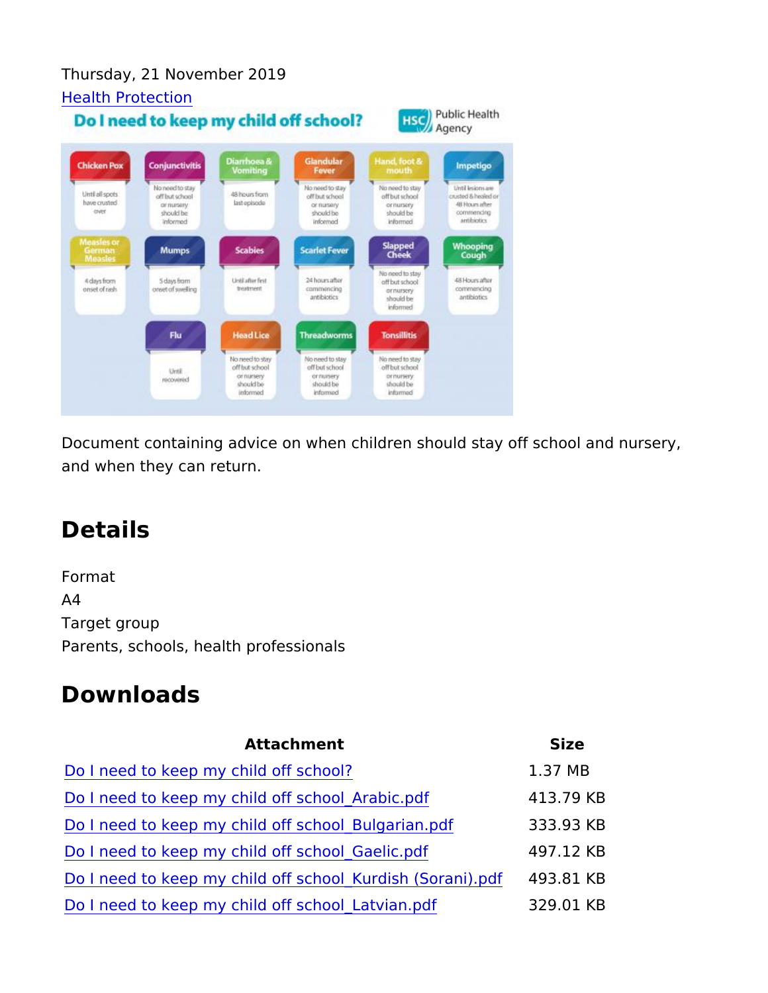Thursday, 21 November 2019 [Health Prote](https://www.publichealth.hscni.net/directorates/public-health/health-protection)ction

Document containing advice on when children should stay off scho and when they can return.

## Details

Format A4 Target group Parents, schools, health professionals

## Downloads

| Attachment |  |  |  |  |  | Size |                                                                    |  |  |
|------------|--|--|--|--|--|------|--------------------------------------------------------------------|--|--|
|            |  |  |  |  |  |      | Do I need to keep my child off school? 1.37 MB                     |  |  |
|            |  |  |  |  |  |      | Do I need to keep my child off school_Arabi4c1.3 d78 KB            |  |  |
|            |  |  |  |  |  |      | Do I need to keep my child off school_Bulg an3 a n9 p d K B        |  |  |
|            |  |  |  |  |  |      | Do I need to keep my child off school_Gaeli4c9 pdf2 KB             |  |  |
|            |  |  |  |  |  |      | Do I need to keep my child off school_Kurdi4s9h3 (\$StorKaBhi).pdf |  |  |
|            |  |  |  |  |  |      | Do I need to keep my child off school_Latvi 329 pulf KB            |  |  |